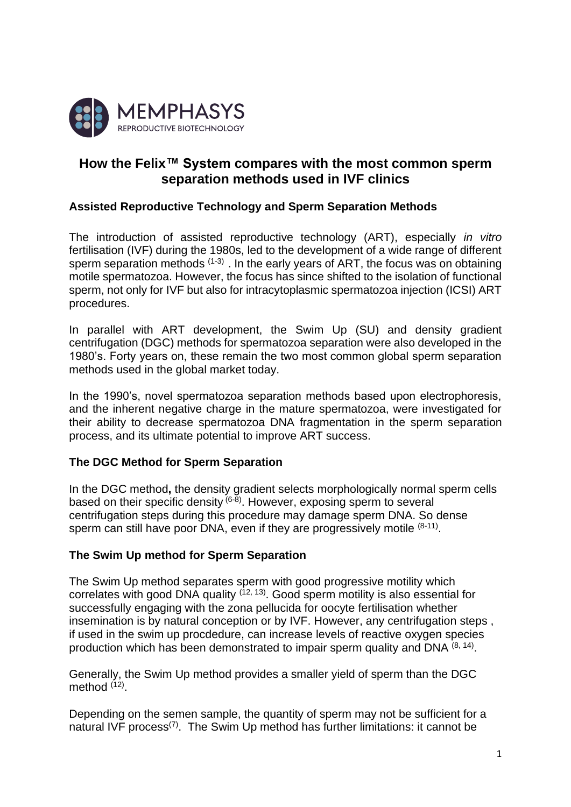

# **How the Felix™ System compares with the most common sperm separation methods used in IVF clinics**

## **Assisted Reproductive Technology and Sperm Separation Methods**

The introduction of assisted reproductive technology (ART), especially *in vitro*  fertilisation (IVF) during the 1980s, led to the development of a wide range of different sperm separation methods  $(1-3)$ . In the early years of ART, the focus was on obtaining motile spermatozoa. However, the focus has since shifted to the isolation of functional sperm, not only for IVF but also for intracytoplasmic spermatozoa injection (ICSI) ART procedures.

In parallel with ART development, the Swim Up (SU) and density gradient centrifugation (DGC) methods for spermatozoa separation were also developed in the 1980's. Forty years on, these remain the two most common global sperm separation methods used in the global market today.

In the 1990's, novel spermatozoa separation methods based upon electrophoresis, and the inherent negative charge in the mature spermatozoa, were investigated for their ability to decrease spermatozoa DNA fragmentation in the sperm separation process, and its ultimate potential to improve ART success.

# **The DGC Method for Sperm Separation**

In the DGC method**,** the density gradient selects morphologically normal sperm cells based on their specific density <sup>(6-8)</sup>. However, exposing sperm to several centrifugation steps during this procedure may damage sperm DNA. So dense sperm can still have poor DNA, even if they are progressively motile  $(8-11)$ .

#### **The Swim Up method for Sperm Separation**

The Swim Up method separates sperm with good progressive motility which correlates with good DNA quality  $(12, 13)$ . Good sperm motility is also essential for successfully engaging with the zona pellucida for oocyte fertilisation whether insemination is by natural conception or by IVF. However, any centrifugation steps , if used in the swim up procdedure, can increase levels of reactive oxygen species production which has been demonstrated to impair sperm quality and DNA (8, 14).

Generally, the Swim Up method provides a smaller yield of sperm than the DGC method <sup>(12)</sup>.

Depending on the semen sample, the quantity of sperm may not be sufficient for a natural IVF process<sup>(7)</sup>. The Swim Up method has further limitations: it cannot be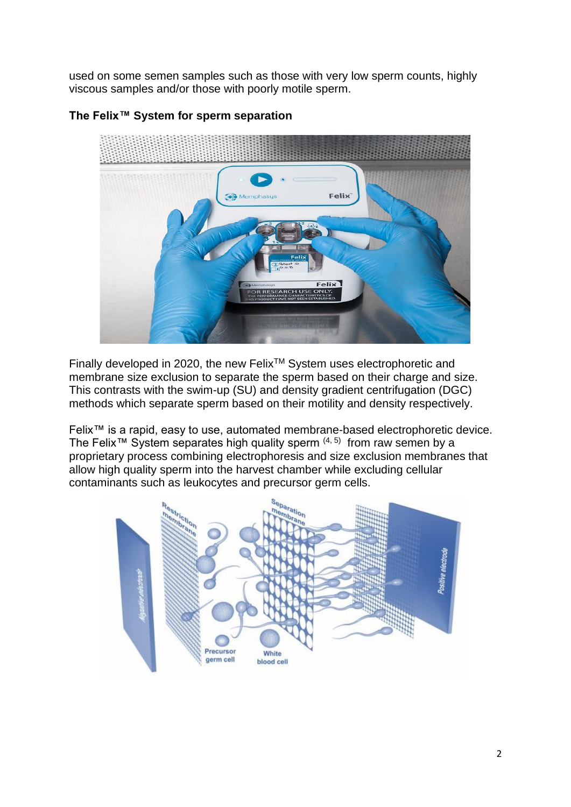used on some semen samples such as those with very low sperm counts, highly viscous samples and/or those with poorly motile sperm.



# **The Felix™ System for sperm separation**

Finally developed in 2020, the new Felix™ System uses electrophoretic and membrane size exclusion to separate the sperm based on their charge and size. This contrasts with the swim-up (SU) and density gradient centrifugation (DGC) methods which separate sperm based on their motility and density respectively.

Felix<sup>™</sup> is a rapid, easy to use, automated membrane-based electrophoretic device. The Felix<sup>™</sup> System separates high quality sperm  $(4, 5)$  from raw semen by a proprietary process combining electrophoresis and size exclusion membranes that allow high quality sperm into the harvest chamber while excluding cellular contaminants such as leukocytes and precursor germ cells.

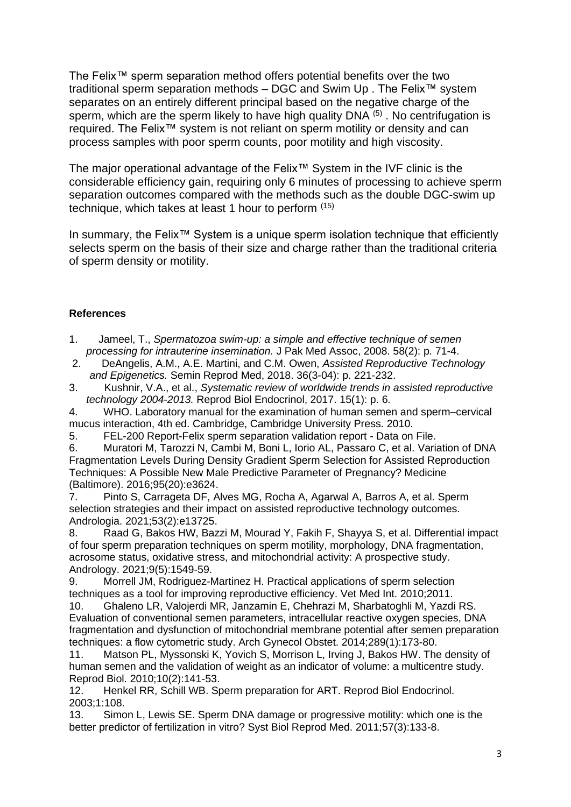The Felix™ sperm separation method offers potential benefits over the two traditional sperm separation methods – DGC and Swim Up . The Felix™ system separates on an entirely different principal based on the negative charge of the sperm, which are the sperm likely to have high quality  $DNA<sup>(5)</sup>$ . No centrifugation is required. The Felix™ system is not reliant on sperm motility or density and can process samples with poor sperm counts, poor motility and high viscosity.

The major operational advantage of the Felix™ System in the IVF clinic is the considerable efficiency gain, requiring only 6 minutes of processing to achieve sperm separation outcomes compared with the methods such as the double DGC-swim up technique, which takes at least 1 hour to perform (15)

In summary, the Felix™ System is a unique sperm isolation technique that efficiently selects sperm on the basis of their size and charge rather than the traditional criteria of sperm density or motility.

## **References**

- 1. Jameel, T., *Spermatozoa swim-up: a simple and effective technique of semen processing for intrauterine insemination.* J Pak Med Assoc, 2008. 58(2): p. 71-4.
- 2. DeAngelis, A.M., A.E. Martini, and C.M. Owen, *Assisted Reproductive Technology and Epigenetics.* Semin Reprod Med, 2018. 36(3-04): p. 221-232.
- 3. Kushnir, V.A., et al., *Systematic review of worldwide trends in assisted reproductive technology 2004-2013.* Reprod Biol Endocrinol, 2017. 15(1): p. 6.

4. WHO. Laboratory manual for the examination of human semen and sperm–cervical mucus interaction, 4th ed. Cambridge, Cambridge University Press. 2010.

5. FEL-200 Report-Felix sperm separation validation report - Data on File.

6. Muratori M, Tarozzi N, Cambi M, Boni L, Iorio AL, Passaro C, et al. Variation of DNA Fragmentation Levels During Density Gradient Sperm Selection for Assisted Reproduction Techniques: A Possible New Male Predictive Parameter of Pregnancy? Medicine (Baltimore). 2016;95(20):e3624.

7. Pinto S, Carrageta DF, Alves MG, Rocha A, Agarwal A, Barros A, et al. Sperm selection strategies and their impact on assisted reproductive technology outcomes. Andrologia. 2021;53(2):e13725.

8. Raad G, Bakos HW, Bazzi M, Mourad Y, Fakih F, Shayya S, et al. Differential impact of four sperm preparation techniques on sperm motility, morphology, DNA fragmentation, acrosome status, oxidative stress, and mitochondrial activity: A prospective study. Andrology. 2021;9(5):1549-59.

9. Morrell JM, Rodriguez-Martinez H. Practical applications of sperm selection techniques as a tool for improving reproductive efficiency. Vet Med Int. 2010;2011.

10. Ghaleno LR, Valojerdi MR, Janzamin E, Chehrazi M, Sharbatoghli M, Yazdi RS. Evaluation of conventional semen parameters, intracellular reactive oxygen species, DNA fragmentation and dysfunction of mitochondrial membrane potential after semen preparation techniques: a flow cytometric study. Arch Gynecol Obstet. 2014;289(1):173-80.

11. Matson PL, Myssonski K, Yovich S, Morrison L, Irving J, Bakos HW. The density of human semen and the validation of weight as an indicator of volume: a multicentre study. Reprod Biol. 2010;10(2):141-53.

12. Henkel RR, Schill WB. Sperm preparation for ART. Reprod Biol Endocrinol. 2003;1:108.

13. Simon L, Lewis SE. Sperm DNA damage or progressive motility: which one is the better predictor of fertilization in vitro? Syst Biol Reprod Med. 2011;57(3):133-8.